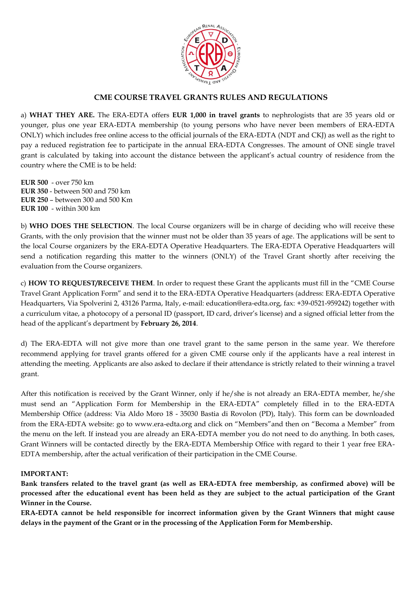

### **CME COURSE TRAVEL GRANTS RULES AND REGULATIONS**

a) **WHAT THEY ARE.** The ERA-EDTA offers **EUR 1,000 in travel grants** to nephrologists that are 35 years old or younger, plus one year ERA-EDTA membership (to young persons who have never been members of ERA-EDTA ONLY) which includes free online access to the official journals of the ERA-EDTA (NDT and CKJ) as well as the right to pay a reduced registration fee to participate in the annual ERA-EDTA Congresses. The amount of ONE single travel grant is calculated by taking into account the distance between the applicant's actual country of residence from the country where the CME is to be held:

**EUR 500** - over 750 km **EUR 350** - between 500 and 750 km **EUR 250** – between 300 and 500 Km **EUR 100** - within 300 km

b) **WHO DOES THE SELECTION**. The local Course organizers will be in charge of deciding who will receive these Grants, with the only provision that the winner must not be older than 35 years of age. The applications will be sent to the local Course organizers by the ERA-EDTA Operative Headquarters. The ERA-EDTA Operative Headquarters will send a notification regarding this matter to the winners (ONLY) of the Travel Grant shortly after receiving the evaluation from the Course organizers.

c) **HOW TO REQUEST/RECEIVE THEM**. In order to request these Grant the applicants must fill in the "CME Course Travel Grant Application Form" and send it to the ERA-EDTA Operative Headquarters (address: ERA-EDTA Operative Headquarters, Via Spolverini 2, 43126 Parma, Italy, e-mail: education@era-edta.org, fax: +39-0521-959242) together with a curriculum vitae, a photocopy of a personal ID (passport, ID card, driver's license) and a signed official letter from the head of the applicant's department by **February 26, 2014**.

d) The ERA-EDTA will not give more than one travel grant to the same person in the same year. We therefore recommend applying for travel grants offered for a given CME course only if the applicants have a real interest in attending the meeting. Applicants are also asked to declare if their attendance is strictly related to their winning a travel grant.

After this notification is received by the Grant Winner, only if he/she is not already an ERA-EDTA member, he/she must send an "Application Form for Membership in the ERA-EDTA" completely filled in to the ERA-EDTA Membership Office (address: Via Aldo Moro 18 - 35030 Bastia di Rovolon (PD), Italy). This form can be downloaded from the ERA-EDTA website: go to www.era-edta.org and click on "Members"and then on "Becoma a Member" from the menu on the left. If instead you are already an ERA-EDTA member you do not need to do anything. In both cases, Grant Winners will be contacted directly by the ERA-EDTA Membership Office with regard to their 1 year free ERA-EDTA membership, after the actual verification of their participation in the CME Course.

#### **IMPORTANT:**

**Bank transfers related to the travel grant (as well as ERA-EDTA free membership, as confirmed above) will be processed after the educational event has been held as they are subject to the actual participation of the Grant Winner in the Course.**

**ERA-EDTA cannot be held responsible for incorrect information given by the Grant Winners that might cause delays in the payment of the Grant or in the processing of the Application Form for Membership.**